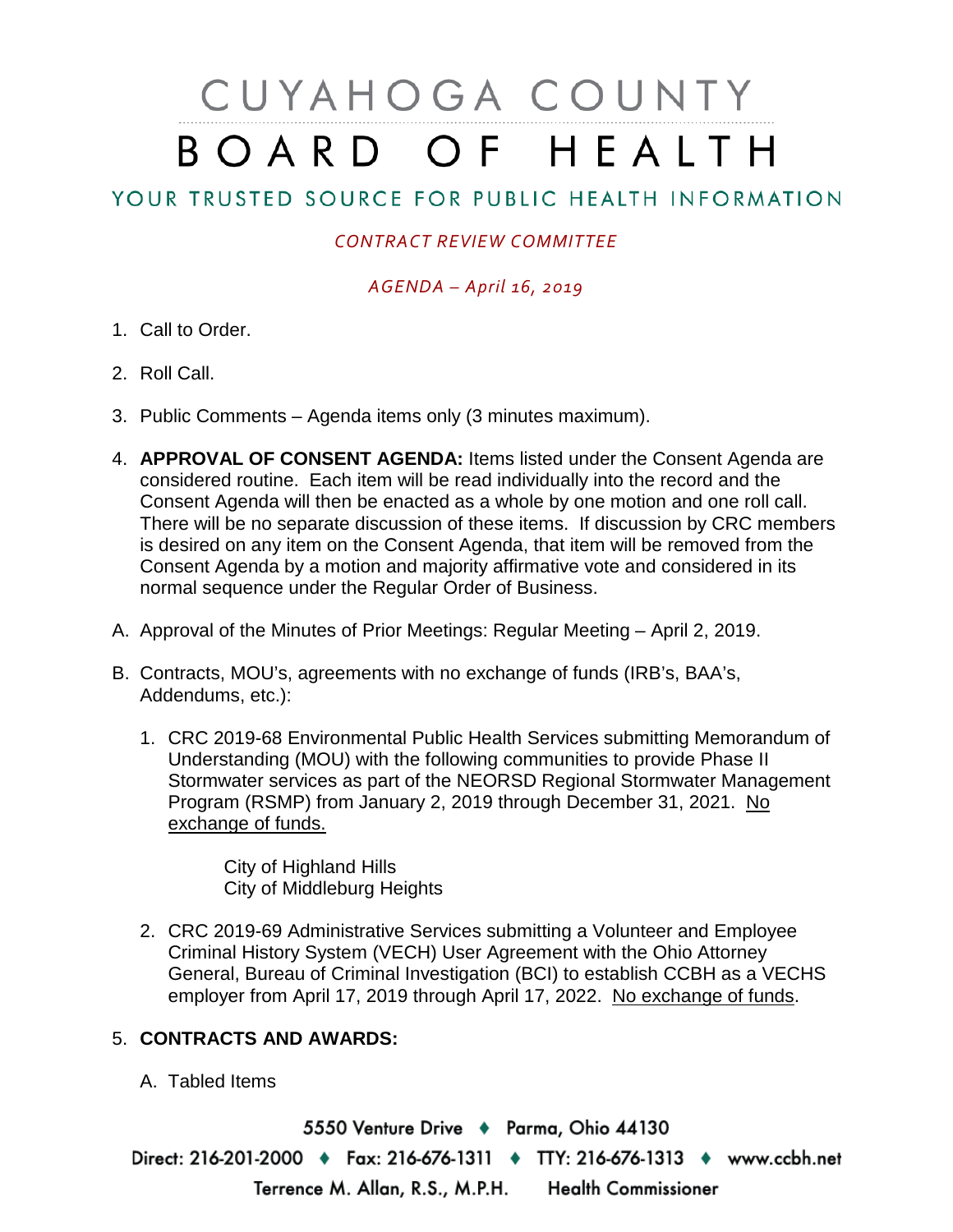# CUYAHOGA COUNTY BOARD OF HEALTH

# YOUR TRUSTED SOURCE FOR PUBLIC HEALTH INFORMATION

## *CONTRACT REVIEW COMMITTEE*

### *AGENDA – April 16, 2019*

- 1. Call to Order.
- 2. Roll Call.
- 3. Public Comments Agenda items only (3 minutes maximum).
- 4. **APPROVAL OF CONSENT AGENDA:** Items listed under the Consent Agenda are considered routine. Each item will be read individually into the record and the Consent Agenda will then be enacted as a whole by one motion and one roll call. There will be no separate discussion of these items. If discussion by CRC members is desired on any item on the Consent Agenda, that item will be removed from the Consent Agenda by a motion and majority affirmative vote and considered in its normal sequence under the Regular Order of Business.
- A. Approval of the Minutes of Prior Meetings: Regular Meeting April 2, 2019.
- B. Contracts, MOU's, agreements with no exchange of funds (IRB's, BAA's, Addendums, etc.):
	- 1. CRC 2019-68 Environmental Public Health Services submitting Memorandum of Understanding (MOU) with the following communities to provide Phase II Stormwater services as part of the NEORSD Regional Stormwater Management Program (RSMP) from January 2, 2019 through December 31, 2021. No exchange of funds.

City of Highland Hills City of Middleburg Heights

2. CRC 2019-69 Administrative Services submitting a Volunteer and Employee Criminal History System (VECH) User Agreement with the Ohio Attorney General, Bureau of Criminal Investigation (BCI) to establish CCBH as a VECHS employer from April 17, 2019 through April 17, 2022. No exchange of funds.

### 5. **CONTRACTS AND AWARDS:**

A. Tabled Items

5550 Venture Drive + Parma, Ohio 44130 Direct: 216-201-2000 • Fax: 216-676-1311 • TTY: 216-676-1313 • www.ccbh.net Terrence M. Allan, R.S., M.P.H. Health Commissioner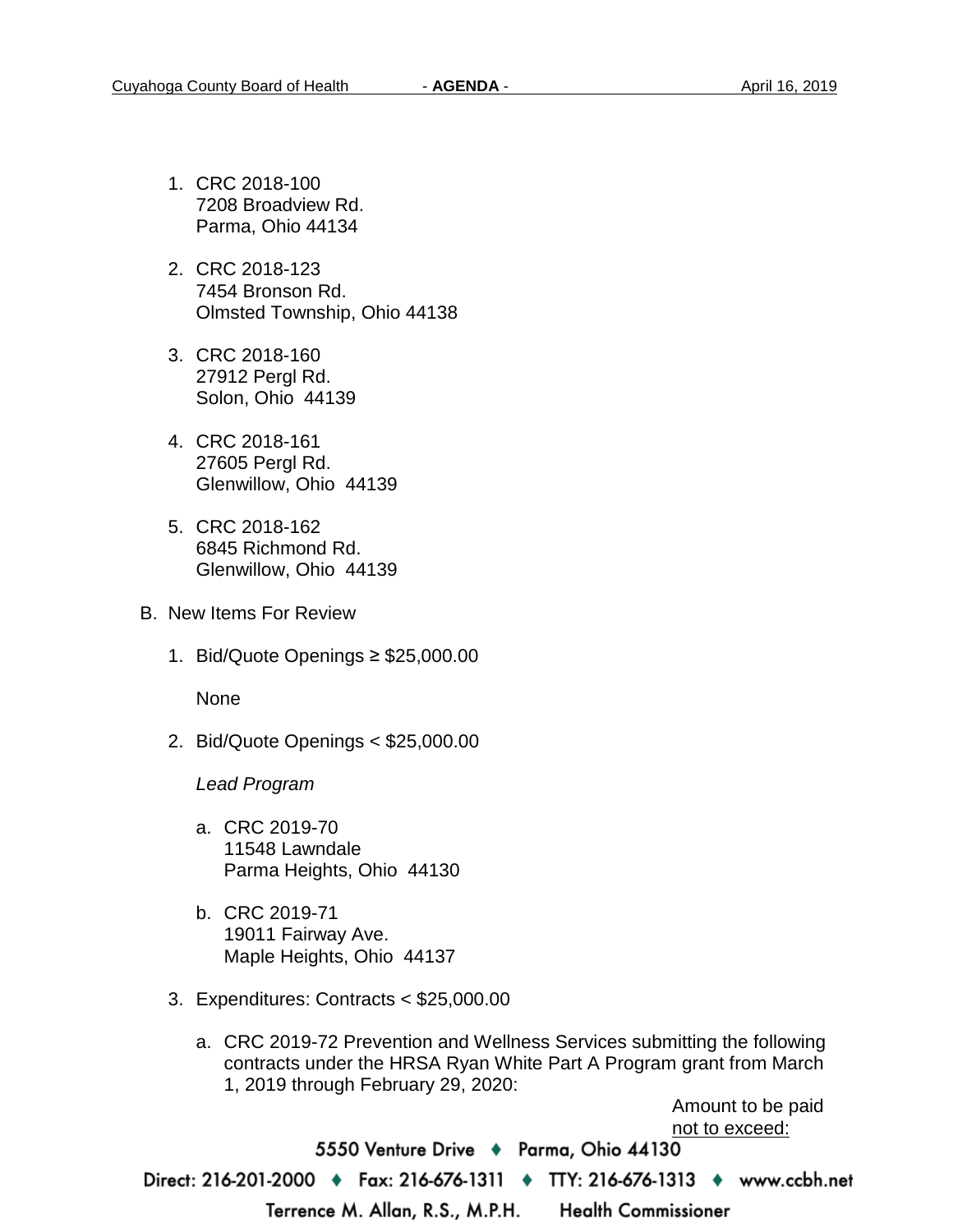- 1. CRC 2018-100 7208 Broadview Rd. Parma, Ohio 44134
- 2. CRC 2018-123 7454 Bronson Rd. Olmsted Township, Ohio 44138
- 3. CRC 2018-160 27912 Pergl Rd. Solon, Ohio 44139
- 4. CRC 2018-161 27605 Pergl Rd. Glenwillow, Ohio 44139
- 5. CRC 2018-162 6845 Richmond Rd. Glenwillow, Ohio 44139
- B. New Items For Review
	- 1. Bid/Quote Openings ≥ \$25,000.00

None

2. Bid/Quote Openings < \$25,000.00

*Lead Program* 

- a. CRC 2019-70 11548 Lawndale Parma Heights, Ohio 44130
- b. CRC 2019-71 19011 Fairway Ave. Maple Heights, Ohio 44137
- 3. Expenditures: Contracts < \$25,000.00
	- a. CRC 2019-72 Prevention and Wellness Services submitting the following contracts under the HRSA Ryan White Part A Program grant from March 1, 2019 through February 29, 2020:

Amount to be paid not to exceed:

5550 Venture Drive + Parma, Ohio 44130 Direct: 216-201-2000 ♦ Fax: 216-676-1311 ♦ TTY: 216-676-1313 ♦ www.ccbh.net Terrence M. Allan, R.S., M.P.H. **Health Commissioner**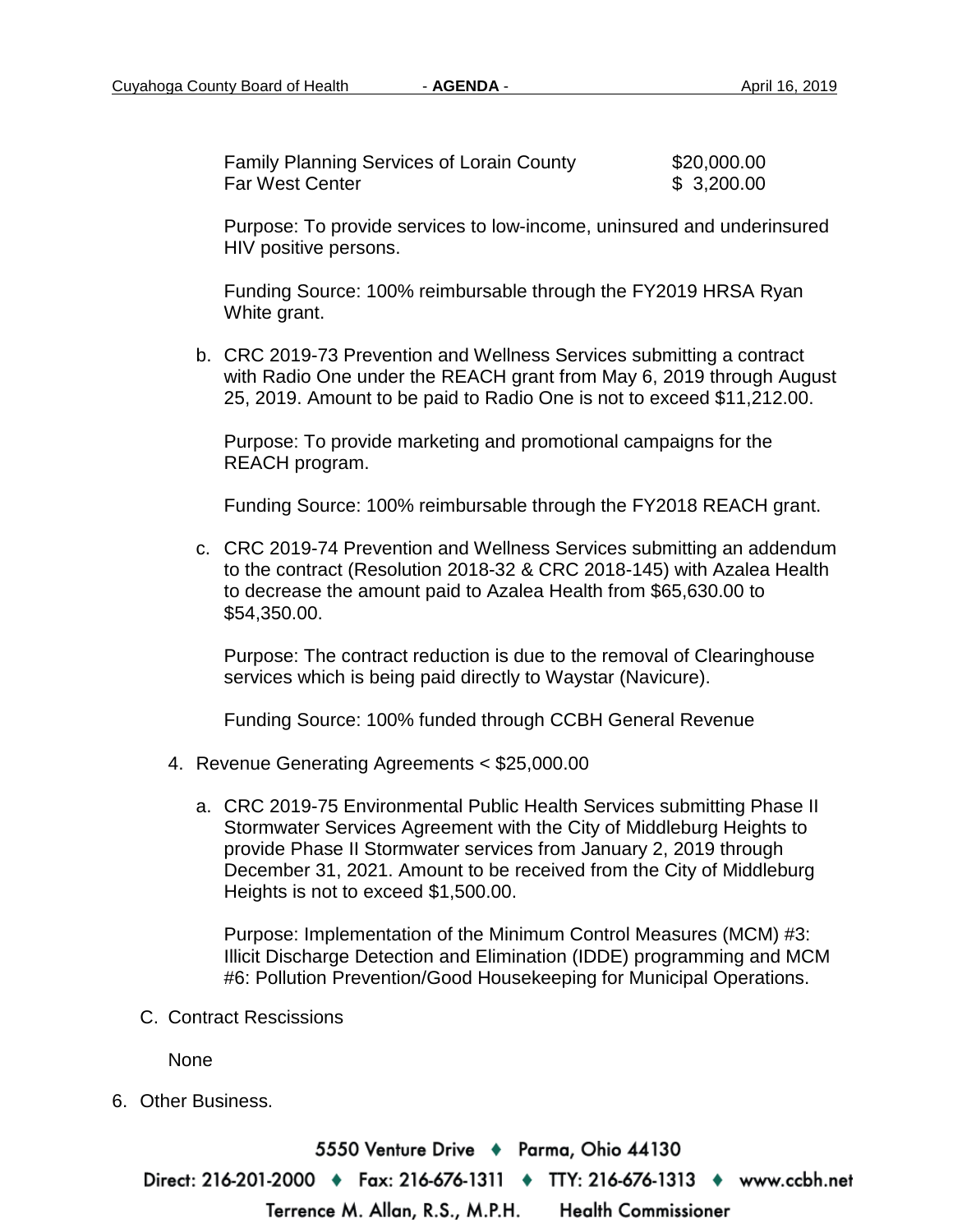| <b>Family Planning Services of Lorain County</b> | \$20,000.00 |
|--------------------------------------------------|-------------|
| <b>Far West Center</b>                           | \$3,200.00  |

Purpose: To provide services to low-income, uninsured and underinsured HIV positive persons.

Funding Source: 100% reimbursable through the FY2019 HRSA Ryan White grant.

b. CRC 2019-73 Prevention and Wellness Services submitting a contract with Radio One under the REACH grant from May 6, 2019 through August 25, 2019. Amount to be paid to Radio One is not to exceed \$11,212.00.

Purpose: To provide marketing and promotional campaigns for the REACH program.

Funding Source: 100% reimbursable through the FY2018 REACH grant.

c. CRC 2019-74 Prevention and Wellness Services submitting an addendum to the contract (Resolution 2018-32 & CRC 2018-145) with Azalea Health to decrease the amount paid to Azalea Health from \$65,630.00 to \$54,350.00.

Purpose: The contract reduction is due to the removal of Clearinghouse services which is being paid directly to Waystar (Navicure).

Funding Source: 100% funded through CCBH General Revenue

- 4. Revenue Generating Agreements < \$25,000.00
	- a. CRC 2019-75 Environmental Public Health Services submitting Phase II Stormwater Services Agreement with the City of Middleburg Heights to provide Phase II Stormwater services from January 2, 2019 through December 31, 2021. Amount to be received from the City of Middleburg Heights is not to exceed \$1,500.00.

Purpose: Implementation of the Minimum Control Measures (MCM) #3: Illicit Discharge Detection and Elimination (IDDE) programming and MCM #6: Pollution Prevention/Good Housekeeping for Municipal Operations.

C. Contract Rescissions

None

6. Other Business.

5550 Venture Drive + Parma, Ohio 44130 Direct: 216-201-2000 • Fax: 216-676-1311 • TTY: 216-676-1313 • www.ccbh.net Terrence M. Allan, R.S., M.P.H. **Health Commissioner**